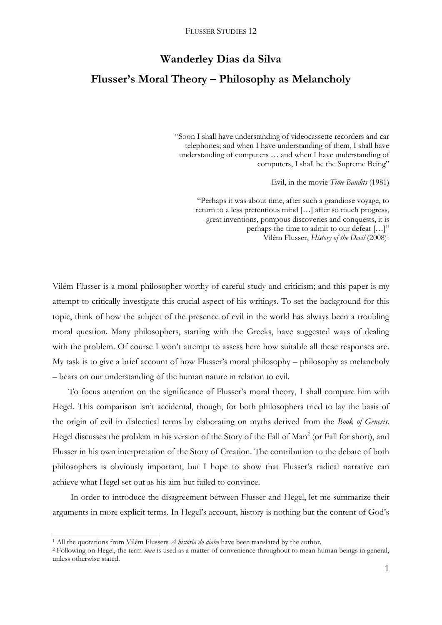## **Wanderley Dias da Silva**

# **Flusser's Moral Theory – Philosophy as Melancholy**

"Soon I shall have understanding of videocassette recorders and car telephones; and when I have understanding of them, I shall have understanding of computers … and when I have understanding of computers, I shall be the Supreme Being"

Evil, in the movie *Time Bandits* (1981)

"Perhaps it was about time, after such a grandiose voyage, to return to a less pretentious mind […] after so much progress, great inventions, pompous discoveries and conquests, it is perhaps the time to admit to our defeat […]" Vilém Flusser, *History of the Devil* (2008)<sup>1</sup>

Vilém Flusser is a moral philosopher worthy of careful study and criticism; and this paper is my attempt to critically investigate this crucial aspect of his writings. To set the background for this topic, think of how the subject of the presence of evil in the world has always been a troubling moral question. Many philosophers, starting with the Greeks, have suggested ways of dealing with the problem. Of course I won't attempt to assess here how suitable all these responses are. My task is to give a brief account of how Flusser"s moral philosophy – philosophy as melancholy – bears on our understanding of the human nature in relation to evil.

To focus attention on the significance of Flusser's moral theory, I shall compare him with Hegel. This comparison isn't accidental, though, for both philosophers tried to lay the basis of the origin of evil in dialectical terms by elaborating on myths derived from the *Book of Genesis*. Hegel discusses the problem in his version of the Story of the Fall of Man<sup>2</sup> (or Fall for short), and Flusser in his own interpretation of the Story of Creation. The contribution to the debate of both philosophers is obviously important, but I hope to show that Flusser's radical narrative can achieve what Hegel set out as his aim but failed to convince.

In order to introduce the disagreement between Flusser and Hegel, let me summarize their arguments in more explicit terms. In Hegel's account, history is nothing but the content of God's

<sup>1</sup> All the quotations from Vilém Flussers *A história do diabo* have been translated by the author.

<sup>2</sup> Following on Hegel, the term *man* is used as a matter of convenience throughout to mean human beings in general, unless otherwise stated.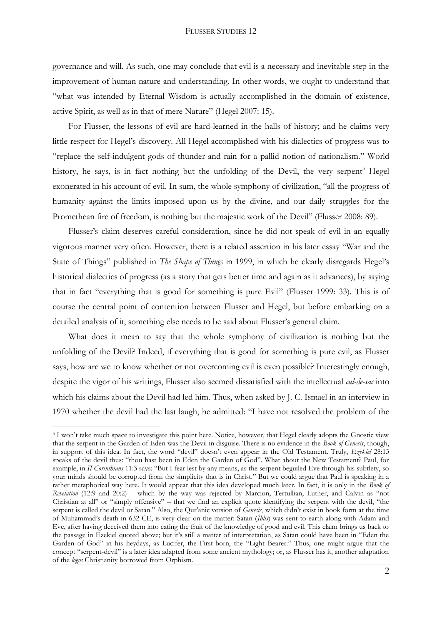governance and will. As such, one may conclude that evil is a necessary and inevitable step in the improvement of human nature and understanding. In other words, we ought to understand that "what was intended by Eternal Wisdom is actually accomplished in the domain of existence, active Spirit, as well as in that of mere Nature" (Hegel 2007: 15).

For Flusser, the lessons of evil are hard-learned in the halls of history; and he claims very little respect for Hegel"s discovery. All Hegel accomplished with his dialectics of progress was to "replace the self-indulgent gods of thunder and rain for a pallid notion of nationalism." World history, he says, is in fact nothing but the unfolding of the Devil, the very serpent<sup>3</sup> Hegel exonerated in his account of evil. In sum, the whole symphony of civilization, "all the progress of humanity against the limits imposed upon us by the divine, and our daily struggles for the Promethean fire of freedom, is nothing but the majestic work of the Devil" (Flusser 2008: 89).

Flusser's claim deserves careful consideration, since he did not speak of evil in an equally vigorous manner very often. However, there is a related assertion in his later essay "War and the State of Things" published in *The Shape of Things* in 1999, in which he clearly disregards Hegel"s historical dialectics of progress (as a story that gets better time and again as it advances), by saying that in fact "everything that is good for something is pure Evil" (Flusser 1999: 33). This is of course the central point of contention between Flusser and Hegel, but before embarking on a detailed analysis of it, something else needs to be said about Flusser"s general claim.

What does it mean to say that the whole symphony of civilization is nothing but the unfolding of the Devil? Indeed, if everything that is good for something is pure evil, as Flusser says, how are we to know whether or not overcoming evil is even possible? Interestingly enough, despite the vigor of his writings, Flusser also seemed dissatisfied with the intellectual *cul-de-sac* into which his claims about the Devil had led him. Thus, when asked by J. C. Ismael in an interview in 1970 whether the devil had the last laugh, he admitted: "I have not resolved the problem of the

 $\overline{\phantom{a}}$ 

<sup>&</sup>lt;sup>3</sup> I won't take much space to investigate this point here. Notice, however, that Hegel clearly adopts the Gnostic view that the serpent in the Garden of Eden was the Devil in disguise. There is no evidence in the *Book of Genesis*, though, in support of this idea. In fact, the word "devil" doesn"t even appear in the Old Testament. Truly, *Ezekiel* 28:13 speaks of the devil thus: "thou hast been in Eden the Garden of God". What about the New Testament? Paul, for example, in *II Corinthians* 11:3 says: "But I fear lest by any means, as the serpent beguiled Eve through his subtlety, so your minds should be corrupted from the simplicity that is in Christ." But we could argue that Paul is speaking in a rather metaphorical way here. It would appear that this idea developed much later. In fact, it is only in the *Book of Revelation* (12:9 and 20:2) – which by the way was rejected by Marcion, Tertullian, Luther, and Calvin as "not Christian at all" or "simply offensive" – that we find an explicit quote identifying the serpent with the devil, "the serpent is called the devil or Satan." Also, the Qur'anic version of *Genesis*, which didn't exist in book form at the time of Muhammad"s death in 632 CE, is very clear on the matter: Satan (*Iblis*) was sent to earth along with Adam and Eve, after having deceived them into eating the fruit of the knowledge of good and evil. This claim brings us back to the passage in Ezekiel quoted above; but it's still a matter of interpretation, as Satan could have been in "Eden the Garden of God" in his heydays, as Lucifer, the First-born, the "Light Bearer." Thus, one might argue that the concept "serpent-devil" is a later idea adapted from some ancient mythology; or, as Flusser has it, another adaptation of the *logos* Christianity borrowed from Orphism.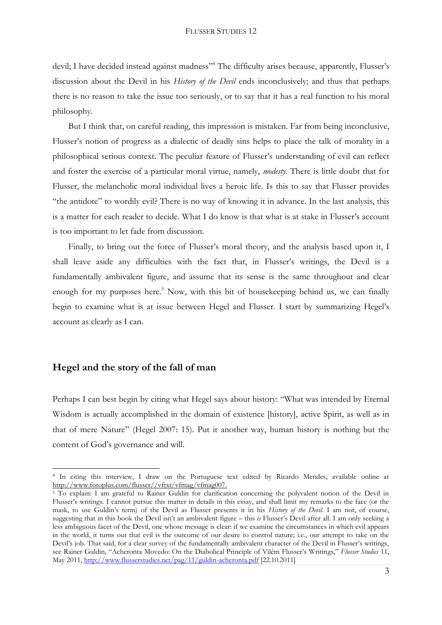devil; I have decided instead against madness"<sup>4</sup> The difficulty arises because, apparently, Flusser's discussion about the Devil in his *History of the Devil* ends inconclusively; and thus that perhaps there is no reason to take the issue too seriously, or to say that it has a real function to his moral philosophy.

But I think that, on careful reading, this impression is mistaken. Far from being inconclusive, Flusser's notion of progress as a dialectic of deadly sins helps to place the talk of morality in a philosophical serious context. The peculiar feature of Flusser"s understanding of evil can reflect and foster the exercise of a particular moral virtue, namely, *modesty*. There is little doubt that for Flusser, the melancholic moral individual lives a heroic life. Is this to say that Flusser provides "the antidote" to wordily evil? There is no way of knowing it in advance. In the last analysis, this is a matter for each reader to decide. What I do know is that what is at stake in Flusser's account is too important to let fade from discussion.

Finally, to bring out the force of Flusser's moral theory, and the analysis based upon it, I shall leave aside any difficulties with the fact that, in Flusser"s writings, the Devil is a fundamentally ambivalent figure, and assume that its sense is the same throughout and clear enough for my purposes here.<sup>5</sup> Now, with this bit of housekeeping behind us, we can finally begin to examine what is at issue between Hegel and Flusser. I start by summarizing Hegel"s account as clearly as I can.

### **Hegel and the story of the fall of man**

1

Perhaps I can best begin by citing what Hegel says about history: "What was intended by Eternal Wisdom is actually accomplished in the domain of existence [history], active Spirit, as well as in that of mere Nature" (Hegel 2007: 15). Put it another way, human history is nothing but the content of God"s governance and will.

<sup>4</sup> In citing this interview, I draw on the Portuguese text edited by Ricardo Mendes, available online at [http://www.fotoplus.com/flusser//vftxt/vfmag/vfmag007.](http://www.fotoplus.com/flusser/vftxt/vfmag/vfmag007)

<sup>5</sup> To explain: I am grateful to Rainer Guldin for clarification concerning the polyvalent notion of the Devil in Flusser"s writings. I cannot pursue this matter in details in this essay, and shall limit my remarks to the face (or the mask, to use Guldin"s term) of the Devil as Flusser presents it in his *History of the Devil*. I am not, of course, suggesting that in this book the Devil isn"t an ambivalent figure – this *is* Flusser"s Devil after all. I am only seeking a less ambiguous facet of the Devil, one whose message is clear: if we examine the circumstances in which evil appears in the world, it turns out that evil is the outcome of our desire to control nature; i.e., our attempt to take on the Devil"s job. That said, for a clear survey of the fundamentally ambivalent character of the Devil in Flusser"s writings, see Rainer Guldin, "Acheronta Movedo: On the Diabolical Principle of Vilém Flusser's Writings," *Flusser Studies* 11, May 2011, <http://www.flusserstudies.net/pag/11/guldin-acheronta.pdf> [22.10.2011]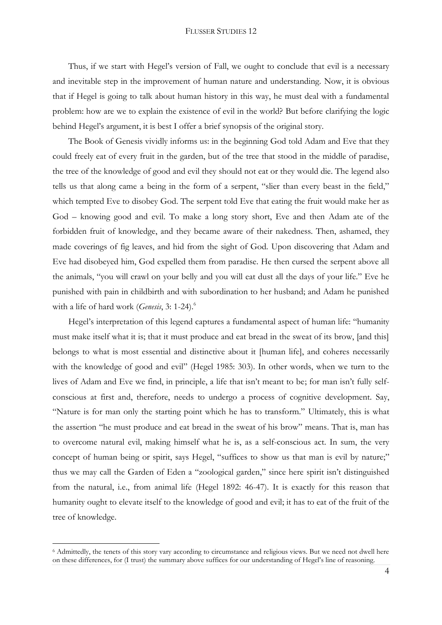Thus, if we start with Hegel"s version of Fall, we ought to conclude that evil is a necessary and inevitable step in the improvement of human nature and understanding. Now, it is obvious that if Hegel is going to talk about human history in this way, he must deal with a fundamental problem: how are we to explain the existence of evil in the world? But before clarifying the logic behind Hegel"s argument, it is best I offer a brief synopsis of the original story.

The Book of Genesis vividly informs us: in the beginning God told Adam and Eve that they could freely eat of every fruit in the garden, but of the tree that stood in the middle of paradise, the tree of the knowledge of good and evil they should not eat or they would die. The legend also tells us that along came a being in the form of a serpent, "slier than every beast in the field," which tempted Eve to disobey God. The serpent told Eve that eating the fruit would make her as God – knowing good and evil. To make a long story short, Eve and then Adam ate of the forbidden fruit of knowledge, and they became aware of their nakedness. Then, ashamed, they made coverings of fig leaves, and hid from the sight of God. Upon discovering that Adam and Eve had disobeyed him, God expelled them from paradise. He then cursed the serpent above all the animals, "you will crawl on your belly and you will eat dust all the days of your life." Eve he punished with pain in childbirth and with subordination to her husband; and Adam he punished with a life of hard work (*Genesis*, 3: 1-24).<sup>6</sup>

Hegel's interpretation of this legend captures a fundamental aspect of human life: "humanity must make itself what it is; that it must produce and eat bread in the sweat of its brow, [and this] belongs to what is most essential and distinctive about it [human life], and coheres necessarily with the knowledge of good and evil" (Hegel 1985: 303). In other words, when we turn to the lives of Adam and Eve we find, in principle, a life that isn't meant to be; for man isn't fully selfconscious at first and, therefore, needs to undergo a process of cognitive development. Say, "Nature is for man only the starting point which he has to transform." Ultimately, this is what the assertion "he must produce and eat bread in the sweat of his brow" means. That is, man has to overcome natural evil, making himself what he is, as a self-conscious act. In sum, the very concept of human being or spirit, says Hegel, "suffices to show us that man is evil by nature;" thus we may call the Garden of Eden a "zoological garden," since here spirit isn"t distinguished from the natural, i.e., from animal life (Hegel 1892: 46-47). It is exactly for this reason that humanity ought to elevate itself to the knowledge of good and evil; it has to eat of the fruit of the tree of knowledge.

<sup>6</sup> Admittedly, the tenets of this story vary according to circumstance and religious views. But we need not dwell here on these differences, for (I trust) the summary above suffices for our understanding of Hegel"s line of reasoning.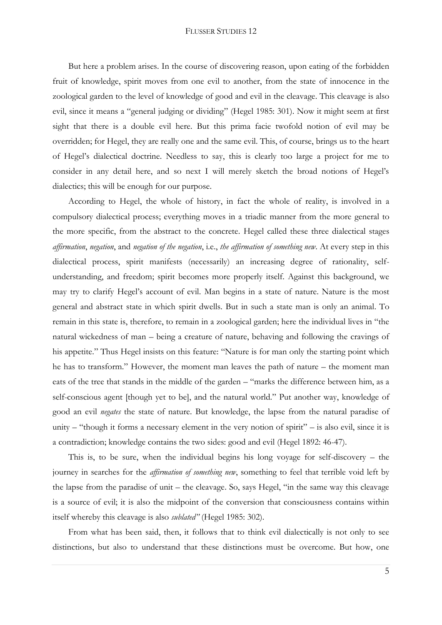But here a problem arises. In the course of discovering reason, upon eating of the forbidden fruit of knowledge, spirit moves from one evil to another, from the state of innocence in the zoological garden to the level of knowledge of good and evil in the cleavage. This cleavage is also evil, since it means a "general judging or dividing" (Hegel 1985: 301). Now it might seem at first sight that there is a double evil here. But this prima facie twofold notion of evil may be overridden; for Hegel, they are really one and the same evil. This, of course, brings us to the heart of Hegel"s dialectical doctrine. Needless to say, this is clearly too large a project for me to consider in any detail here, and so next I will merely sketch the broad notions of Hegel"s dialectics; this will be enough for our purpose.

According to Hegel, the whole of history, in fact the whole of reality, is involved in a compulsory dialectical process; everything moves in a triadic manner from the more general to the more specific, from the abstract to the concrete. Hegel called these three dialectical stages *affirmation*, *negation*, and *negation of the negation*, i.e., *the affirmation of something new*. At every step in this dialectical process, spirit manifests (necessarily) an increasing degree of rationality, selfunderstanding, and freedom; spirit becomes more properly itself. Against this background, we may try to clarify Hegel"s account of evil. Man begins in a state of nature. Nature is the most general and abstract state in which spirit dwells. But in such a state man is only an animal. To remain in this state is, therefore, to remain in a zoological garden; here the individual lives in "the natural wickedness of man – being a creature of nature, behaving and following the cravings of his appetite." Thus Hegel insists on this feature: "Nature is for man only the starting point which he has to transform." However, the moment man leaves the path of nature – the moment man eats of the tree that stands in the middle of the garden – "marks the difference between him, as a self-conscious agent [though yet to be], and the natural world." Put another way, knowledge of good an evil *negates* the state of nature. But knowledge, the lapse from the natural paradise of unity – "though it forms a necessary element in the very notion of spirit" – is also evil, since it is a contradiction; knowledge contains the two sides: good and evil (Hegel 1892: 46-47).

This is, to be sure, when the individual begins his long voyage for self-discovery – the journey in searches for the *affirmation of something new*, something to feel that terrible void left by the lapse from the paradise of unit – the cleavage. So, says Hegel, "in the same way this cleavage is a source of evil; it is also the midpoint of the conversion that consciousness contains within itself whereby this cleavage is also *sublated"* (Hegel 1985: 302).

From what has been said, then, it follows that to think evil dialectically is not only to see distinctions, but also to understand that these distinctions must be overcome. But how, one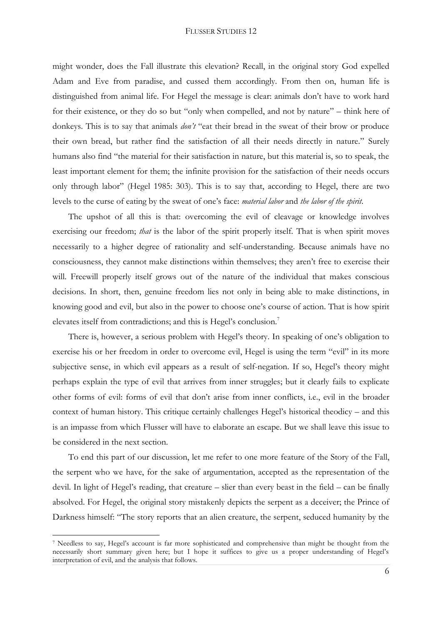might wonder, does the Fall illustrate this elevation? Recall, in the original story God expelled Adam and Eve from paradise, and cussed them accordingly. From then on, human life is distinguished from animal life. For Hegel the message is clear: animals don"t have to work hard for their existence, or they do so but "only when compelled, and not by nature" – think here of donkeys. This is to say that animals *don't* "eat their bread in the sweat of their brow or produce their own bread, but rather find the satisfaction of all their needs directly in nature." Surely humans also find "the material for their satisfaction in nature, but this material is, so to speak, the least important element for them; the infinite provision for the satisfaction of their needs occurs only through labor" (Hegel 1985: 303). This is to say that, according to Hegel, there are two levels to the curse of eating by the sweat of one"s face: *material labor* and *the labor of the spirit*.

The upshot of all this is that: overcoming the evil of cleavage or knowledge involves exercising our freedom; *that* is the labor of the spirit properly itself. That is when spirit moves necessarily to a higher degree of rationality and self-understanding. Because animals have no consciousness, they cannot make distinctions within themselves; they aren"t free to exercise their will. Freewill properly itself grows out of the nature of the individual that makes conscious decisions. In short, then, genuine freedom lies not only in being able to make distinctions, in knowing good and evil, but also in the power to choose one"s course of action. That is how spirit elevates itself from contradictions; and this is Hegel's conclusion.<sup>7</sup>

There is, however, a serious problem with Hegel's theory. In speaking of one's obligation to exercise his or her freedom in order to overcome evil, Hegel is using the term "evil" in its more subjective sense, in which evil appears as a result of self-negation. If so, Hegel's theory might perhaps explain the type of evil that arrives from inner struggles; but it clearly fails to explicate other forms of evil: forms of evil that don"t arise from inner conflicts, i.e., evil in the broader context of human history. This critique certainly challenges Hegel's historical theodicy – and this is an impasse from which Flusser will have to elaborate an escape. But we shall leave this issue to be considered in the next section.

To end this part of our discussion, let me refer to one more feature of the Story of the Fall, the serpent who we have, for the sake of argumentation, accepted as the representation of the devil. In light of Hegel"s reading, that creature – slier than every beast in the field – can be finally absolved. For Hegel, the original story mistakenly depicts the serpent as a deceiver; the Prince of Darkness himself: "The story reports that an alien creature, the serpent, seduced humanity by the

 $\overline{\phantom{a}}$ 

<sup>7</sup> Needless to say, Hegel"s account is far more sophisticated and comprehensive than might be thought from the necessarily short summary given here; but I hope it suffices to give us a proper understanding of Hegel"s interpretation of evil, and the analysis that follows.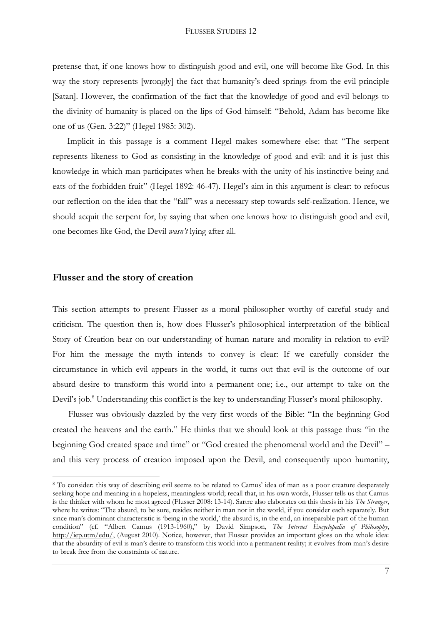pretense that, if one knows how to distinguish good and evil, one will become like God. In this way the story represents [wrongly] the fact that humanity"s deed springs from the evil principle [Satan]. However, the confirmation of the fact that the knowledge of good and evil belongs to the divinity of humanity is placed on the lips of God himself: "Behold, Adam has become like one of us (Gen. 3:22)" (Hegel 1985: 302).

Implicit in this passage is a comment Hegel makes somewhere else: that "The serpent represents likeness to God as consisting in the knowledge of good and evil: and it is just this knowledge in which man participates when he breaks with the unity of his instinctive being and eats of the forbidden fruit" (Hegel 1892: 46-47). Hegel's aim in this argument is clear: to refocus our reflection on the idea that the "fall" was a necessary step towards self-realization. Hence, we should acquit the serpent for, by saying that when one knows how to distinguish good and evil, one becomes like God, the Devil *wasn't* lying after all.

### **Flusser and the story of creation**

 $\overline{\phantom{a}}$ 

This section attempts to present Flusser as a moral philosopher worthy of careful study and criticism. The question then is, how does Flusser"s philosophical interpretation of the biblical Story of Creation bear on our understanding of human nature and morality in relation to evil? For him the message the myth intends to convey is clear: If we carefully consider the circumstance in which evil appears in the world, it turns out that evil is the outcome of our absurd desire to transform this world into a permanent one; i.e., our attempt to take on the Devil's job.<sup>8</sup> Understanding this conflict is the key to understanding Flusser's moral philosophy.

Flusser was obviously dazzled by the very first words of the Bible: "In the beginning God created the heavens and the earth." He thinks that we should look at this passage thus: "in the beginning God created space and time" or "God created the phenomenal world and the Devil" – and this very process of creation imposed upon the Devil, and consequently upon humanity,

<sup>8</sup> To consider: this way of describing evil seems to be related to Camus" idea of man as a poor creature desperately seeking hope and meaning in a hopeless, meaningless world; recall that, in his own words, Flusser tells us that Camus is the thinker with whom he most agreed (Flusser 2008: 13-14). Sartre also elaborates on this thesis in his *The Stranger*, where he writes: "The absurd, to be sure, resides neither in man nor in the world, if you consider each separately. But since man's dominant characteristic is 'being in the world,' the absurd is, in the end, an inseparable part of the human condition" (cf. "Albert Camus (1913-1960)," by David Simpson, *The Internet Encyclopedia of Philosophy*, [http://iep.utm/edu/,](http://iep.utm/edu/) (August 2010). Notice, however, that Flusser provides an important gloss on the whole idea: that the absurdity of evil is man"s desire to transform this world into a permanent reality; it evolves from man"s desire to break free from the constraints of nature.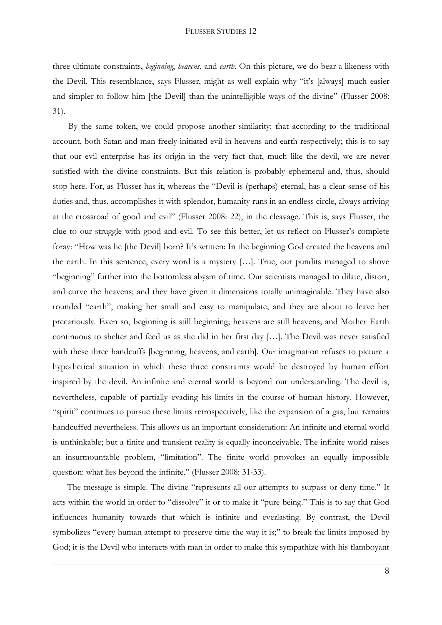three ultimate constraints, *beginning*, *heavens*, and *earth*. On this picture, we do bear a likeness with the Devil. This resemblance, says Flusser, might as well explain why "it's [always] much easier and simpler to follow him [the Devil] than the unintelligible ways of the divine" (Flusser 2008: 31).

By the same token, we could propose another similarity: that according to the traditional account, both Satan and man freely initiated evil in heavens and earth respectively; this is to say that our evil enterprise has its origin in the very fact that, much like the devil, we are never satisfied with the divine constraints. But this relation is probably ephemeral and, thus, should stop here. For, as Flusser has it, whereas the "Devil is (perhaps) eternal, has a clear sense of his duties and, thus, accomplishes it with splendor, humanity runs in an endless circle, always arriving at the crossroad of good and evil" (Flusser 2008: 22), in the cleavage. This is, says Flusser, the clue to our struggle with good and evil. To see this better, let us reflect on Flusser's complete foray: "How was he [the Devil] born? It's written: In the beginning God created the heavens and the earth. In this sentence, every word is a mystery […]. True, our pundits managed to shove "beginning" further into the bottomless abysm of time. Our scientists managed to dilate, distort, and curve the heavens; and they have given it dimensions totally unimaginable. They have also rounded "earth", making her small and easy to manipulate; and they are about to leave her precariously. Even so, beginning is still beginning; heavens are still heavens; and Mother Earth continuous to shelter and feed us as she did in her first day […]. The Devil was never satisfied with these three handcuffs [beginning, heavens, and earth]. Our imagination refuses to picture a hypothetical situation in which these three constraints would be destroyed by human effort inspired by the devil. An infinite and eternal world is beyond our understanding. The devil is, nevertheless, capable of partially evading his limits in the course of human history. However, "spirit" continues to pursue these limits retrospectively, like the expansion of a gas, but remains handcuffed nevertheless. This allows us an important consideration: An infinite and eternal world is unthinkable; but a finite and transient reality is equally inconceivable. The infinite world raises an insurmountable problem, "limitation". The finite world provokes an equally impossible question: what lies beyond the infinite." (Flusser 2008: 31-33).

The message is simple. The divine "represents all our attempts to surpass or deny time." It acts within the world in order to "dissolve" it or to make it "pure being." This is to say that God influences humanity towards that which is infinite and everlasting. By contrast, the Devil symbolizes "every human attempt to preserve time the way it is;" to break the limits imposed by God; it is the Devil who interacts with man in order to make this sympathize with his flamboyant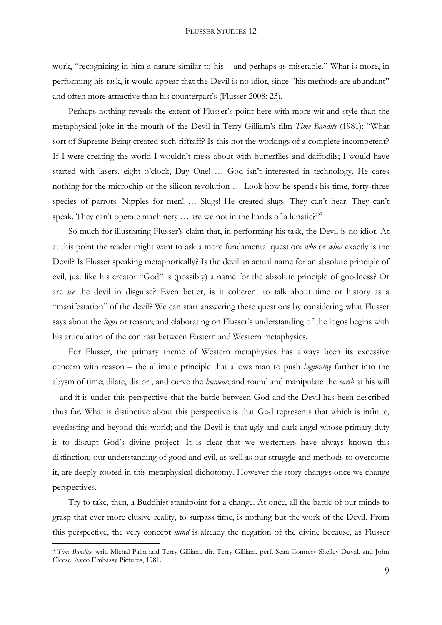work, "recognizing in him a nature similar to his – and perhaps as miserable." What is more, in performing his task, it would appear that the Devil is no idiot, since "his methods are abundant" and often more attractive than his counterpart's (Flusser 2008: 23).

Perhaps nothing reveals the extent of Flusser's point here with more wit and style than the metaphysical joke in the mouth of the Devil in Terry Gilliam"s film *Time Bandits* (1981): "What sort of Supreme Being created such riffraff? Is this not the workings of a complete incompetent? If I were creating the world I wouldn"t mess about with butterflies and daffodils; I would have started with lasers, eight o'clock, Day One! ... God isn't interested in technology. He cares nothing for the microchip or the silicon revolution … Look how he spends his time, forty-three species of parrots! Nipples for men! ... Slugs! He created slugs! They can't hear. They can't speak. They can't operate machinery ... are we not in the hands of a lunatic?"<sup>9</sup>

So much for illustrating Flusser's claim that, in performing his task, the Devil is no idiot. At at this point the reader might want to ask a more fundamental question: *who* or *what* exactly is the Devil? Is Flusser speaking metaphorically? Is the devil an actual name for an absolute principle of evil, just like his creator "God" is (possibly) a name for the absolute principle of goodness? Or are *we* the devil in disguise? Even better, is it coherent to talk about time or history as a "manifestation" of the devil? We can start answering these questions by considering what Flusser says about the *logos* or reason; and elaborating on Flusser's understanding of the logos begins with his articulation of the contrast between Eastern and Western metaphysics.

For Flusser, the primary theme of Western metaphysics has always been its excessive concern with reason – the ultimate principle that allows man to push *beginning* further into the abysm of time; dilate, distort, and curve the *heavens*; and round and manipulate the *earth* at his will – and it is under this perspective that the battle between God and the Devil has been described thus far. What is distinctive about this perspective is that God represents that which is infinite, everlasting and beyond this world; and the Devil is that ugly and dark angel whose primary duty is to disrupt God's divine project. It is clear that we westerners have always known this distinction; our understanding of good and evil, as well as our struggle and methods to overcome it, are deeply rooted in this metaphysical dichotomy. However the story changes once we change perspectives.

Try to take, then, a Buddhist standpoint for a change. At once, all the battle of our minds to grasp that ever more elusive reality, to surpass time, is nothing but the work of the Devil. From this perspective, the very concept *mind* is already the negation of the divine because, as Flusser

<sup>&</sup>lt;sup>9</sup> Time Bandits, writ. Michal Palin and Terry Gilliam, dir. Terry Gilliam, perf. Sean Connery Shelley Duval, and John Cleese, Avco Embassy Pictures, 1981.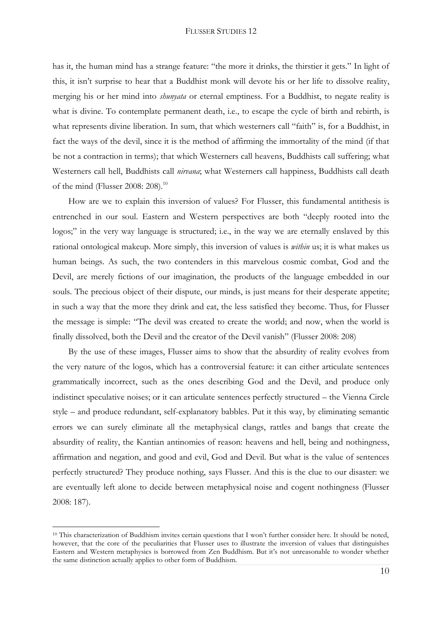has it, the human mind has a strange feature: "the more it drinks, the thirstier it gets." In light of this, it isn"t surprise to hear that a Buddhist monk will devote his or her life to dissolve reality, merging his or her mind into *shunyata* or eternal emptiness. For a Buddhist, to negate reality is what is divine. To contemplate permanent death, i.e., to escape the cycle of birth and rebirth, is what represents divine liberation. In sum, that which westerners call "faith" is, for a Buddhist, in fact the ways of the devil, since it is the method of affirming the immortality of the mind (if that be not a contraction in terms); that which Westerners call heavens, Buddhists call suffering; what Westerners call hell, Buddhists call *nirvana*; what Westerners call happiness, Buddhists call death of the mind (Flusser 2008: 208).<sup>10</sup>

How are we to explain this inversion of values? For Flusser, this fundamental antithesis is entrenched in our soul. Eastern and Western perspectives are both "deeply rooted into the logos;" in the very way language is structured; i.e., in the way we are eternally enslaved by this rational ontological makeup. More simply, this inversion of values is *within* us; it is what makes us human beings. As such, the two contenders in this marvelous cosmic combat, God and the Devil, are merely fictions of our imagination, the products of the language embedded in our souls. The precious object of their dispute, our minds, is just means for their desperate appetite; in such a way that the more they drink and eat, the less satisfied they become. Thus, for Flusser the message is simple: "The devil was created to create the world; and now, when the world is finally dissolved, both the Devil and the creator of the Devil vanish" (Flusser 2008: 208)

By the use of these images, Flusser aims to show that the absurdity of reality evolves from the very nature of the logos, which has a controversial feature: it can either articulate sentences grammatically incorrect, such as the ones describing God and the Devil, and produce only indistinct speculative noises; or it can articulate sentences perfectly structured – the Vienna Circle style – and produce redundant, self-explanatory babbles. Put it this way, by eliminating semantic errors we can surely eliminate all the metaphysical clangs, rattles and bangs that create the absurdity of reality, the Kantian antinomies of reason: heavens and hell, being and nothingness, affirmation and negation, and good and evil, God and Devil. But what is the value of sentences perfectly structured? They produce nothing, says Flusser. And this is the clue to our disaster: we are eventually left alone to decide between metaphysical noise and cogent nothingness (Flusser 2008: 187).

<sup>&</sup>lt;sup>10</sup> This characterization of Buddhism invites certain questions that I won't further consider here. It should be noted, however, that the core of the peculiarities that Flusser uses to illustrate the inversion of values that distinguishes Eastern and Western metaphysics is borrowed from Zen Buddhism. But it's not unreasonable to wonder whether the same distinction actually applies to other form of Buddhism.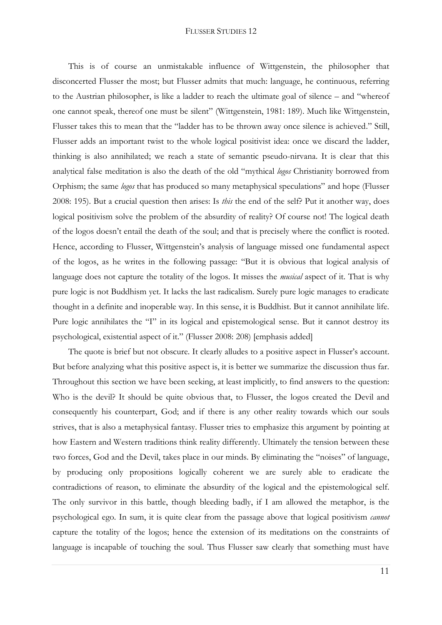This is of course an unmistakable influence of Wittgenstein, the philosopher that disconcerted Flusser the most; but Flusser admits that much: language, he continuous, referring to the Austrian philosopher, is like a ladder to reach the ultimate goal of silence – and "whereof one cannot speak, thereof one must be silent" (Wittgenstein, 1981: 189). Much like Wittgenstein, Flusser takes this to mean that the "ladder has to be thrown away once silence is achieved." Still, Flusser adds an important twist to the whole logical positivist idea: once we discard the ladder, thinking is also annihilated; we reach a state of semantic pseudo-nirvana. It is clear that this analytical false meditation is also the death of the old "mythical *logos* Christianity borrowed from Orphism; the same *logos* that has produced so many metaphysical speculations" and hope (Flusser 2008: 195). But a crucial question then arises: Is *this* the end of the self? Put it another way, does logical positivism solve the problem of the absurdity of reality? Of course not! The logical death of the logos doesn"t entail the death of the soul; and that is precisely where the conflict is rooted. Hence, according to Flusser, Wittgenstein's analysis of language missed one fundamental aspect of the logos, as he writes in the following passage: "But it is obvious that logical analysis of language does not capture the totality of the logos. It misses the *musical* aspect of it. That is why pure logic is not Buddhism yet. It lacks the last radicalism. Surely pure logic manages to eradicate thought in a definite and inoperable way. In this sense, it is Buddhist. But it cannot annihilate life. Pure logic annihilates the "I" in its logical and epistemological sense. But it cannot destroy its psychological, existential aspect of it." (Flusser 2008: 208) [emphasis added]

The quote is brief but not obscure. It clearly alludes to a positive aspect in Flusser's account. But before analyzing what this positive aspect is, it is better we summarize the discussion thus far. Throughout this section we have been seeking, at least implicitly, to find answers to the question: Who is the devil? It should be quite obvious that, to Flusser, the logos created the Devil and consequently his counterpart, God; and if there is any other reality towards which our souls strives, that is also a metaphysical fantasy. Flusser tries to emphasize this argument by pointing at how Eastern and Western traditions think reality differently. Ultimately the tension between these two forces, God and the Devil, takes place in our minds. By eliminating the "noises" of language, by producing only propositions logically coherent we are surely able to eradicate the contradictions of reason, to eliminate the absurdity of the logical and the epistemological self. The only survivor in this battle, though bleeding badly, if I am allowed the metaphor, is the psychological ego. In sum, it is quite clear from the passage above that logical positivism *cannot* capture the totality of the logos; hence the extension of its meditations on the constraints of language is incapable of touching the soul. Thus Flusser saw clearly that something must have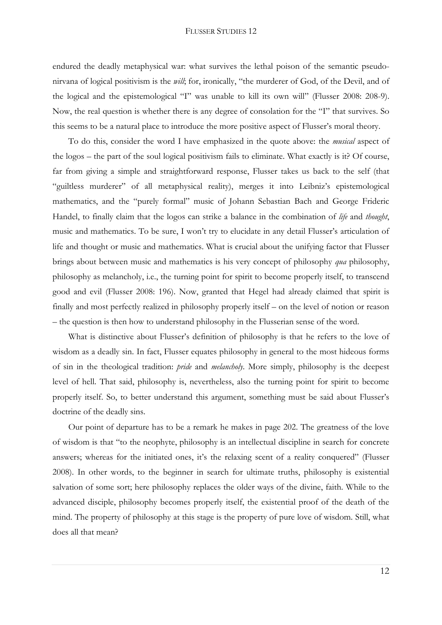endured the deadly metaphysical war: what survives the lethal poison of the semantic pseudonirvana of logical positivism is the *will*; for, ironically, "the murderer of God, of the Devil, and of the logical and the epistemological "I" was unable to kill its own will" (Flusser 2008: 208-9). Now, the real question is whether there is any degree of consolation for the "I" that survives. So this seems to be a natural place to introduce the more positive aspect of Flusser's moral theory.

To do this, consider the word I have emphasized in the quote above: the *musical* aspect of the logos – the part of the soul logical positivism fails to eliminate. What exactly is it? Of course, far from giving a simple and straightforward response, Flusser takes us back to the self (that "guiltless murderer" of all metaphysical reality), merges it into Leibniz"s epistemological mathematics, and the "purely formal" music of Johann Sebastian Bach and George Frideric Handel, to finally claim that the logos can strike a balance in the combination of *life* and *thought*, music and mathematics. To be sure, I won't try to elucidate in any detail Flusser's articulation of life and thought or music and mathematics. What is crucial about the unifying factor that Flusser brings about between music and mathematics is his very concept of philosophy *qua* philosophy, philosophy as melancholy, i.e., the turning point for spirit to become properly itself, to transcend good and evil (Flusser 2008: 196). Now, granted that Hegel had already claimed that spirit is finally and most perfectly realized in philosophy properly itself – on the level of notion or reason – the question is then how to understand philosophy in the Flusserian sense of the word.

What is distinctive about Flusser's definition of philosophy is that he refers to the love of wisdom as a deadly sin. In fact, Flusser equates philosophy in general to the most hideous forms of sin in the theological tradition: *pride* and *melancholy*. More simply, philosophy is the deepest level of hell. That said, philosophy is, nevertheless, also the turning point for spirit to become properly itself. So, to better understand this argument, something must be said about Flusser"s doctrine of the deadly sins.

Our point of departure has to be a remark he makes in page 202. The greatness of the love of wisdom is that "to the neophyte, philosophy is an intellectual discipline in search for concrete answers; whereas for the initiated ones, it's the relaxing scent of a reality conquered" (Flusser 2008). In other words, to the beginner in search for ultimate truths, philosophy is existential salvation of some sort; here philosophy replaces the older ways of the divine, faith. While to the advanced disciple, philosophy becomes properly itself, the existential proof of the death of the mind. The property of philosophy at this stage is the property of pure love of wisdom. Still, what does all that mean?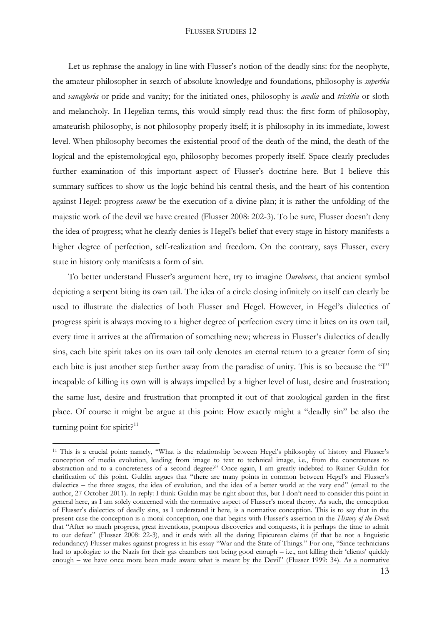Let us rephrase the analogy in line with Flusser's notion of the deadly sins: for the neophyte, the amateur philosopher in search of absolute knowledge and foundations, philosophy is *superbia* and *vanagloria* or pride and vanity; for the initiated ones, philosophy is *acedia* and *tristitia* or sloth and melancholy. In Hegelian terms, this would simply read thus: the first form of philosophy, amateurish philosophy, is not philosophy properly itself; it is philosophy in its immediate, lowest level. When philosophy becomes the existential proof of the death of the mind, the death of the logical and the epistemological ego, philosophy becomes properly itself. Space clearly precludes further examination of this important aspect of Flusser's doctrine here. But I believe this summary suffices to show us the logic behind his central thesis, and the heart of his contention against Hegel: progress *cannot* be the execution of a divine plan; it is rather the unfolding of the majestic work of the devil we have created (Flusser 2008: 202-3). To be sure, Flusser doesn"t deny the idea of progress; what he clearly denies is Hegel"s belief that every stage in history manifests a higher degree of perfection, self-realization and freedom. On the contrary, says Flusser, every state in history only manifests a form of sin.

To better understand Flusser's argument here, try to imagine *Ouroboros*, that ancient symbol depicting a serpent biting its own tail. The idea of a circle closing infinitely on itself can clearly be used to illustrate the dialectics of both Flusser and Hegel. However, in Hegel"s dialectics of progress spirit is always moving to a higher degree of perfection every time it bites on its own tail, every time it arrives at the affirmation of something new; whereas in Flusser's dialectics of deadly sins, each bite spirit takes on its own tail only denotes an eternal return to a greater form of sin; each bite is just another step further away from the paradise of unity. This is so because the "I" incapable of killing its own will is always impelled by a higher level of lust, desire and frustration; the same lust, desire and frustration that prompted it out of that zoological garden in the first place. Of course it might be argue at this point: How exactly might a "deadly sin" be also the turning point for spirit? $11$ 

1

<sup>&</sup>lt;sup>11</sup> This is a crucial point: namely, "What is the relationship between Hegel's philosophy of history and Flusser's conception of media evolution, leading from image to text to technical image, i.e., from the concreteness to abstraction and to a concreteness of a second degree?" Once again, I am greatly indebted to Rainer Guldin for clarification of this point. Guldin argues that "there are many points in common between Hegel"s and Flusser"s dialectics – the three stages, the idea of evolution, and the idea of a better world at the very end" (email to the author, 27 October 2011). In reply: I think Guldin may be right about this, but I don"t need to consider this point in general here, as I am solely concerned with the normative aspect of Flusser"s moral theory. As such, the conception of Flusser"s dialectics of deadly sins, as I understand it here, is a normative conception. This is to say that in the present case the conception is a moral conception, one that begins with Flusser"s assertion in the *History of the Devil*: that "After so much progress, great inventions, pompous discoveries and conquests, it is perhaps the time to admit to our defeat" (Flusser 2008: 22-3), and it ends with all the daring Epicurean claims (if that be not a linguistic redundancy) Flusser makes against progress in his essay "War and the State of Things." For one, "Since technicians had to apologize to the Nazis for their gas chambers not being good enough – i.e., not killing their 'clients' quickly enough – we have once more been made aware what is meant by the Devil" (Flusser 1999: 34). As a normative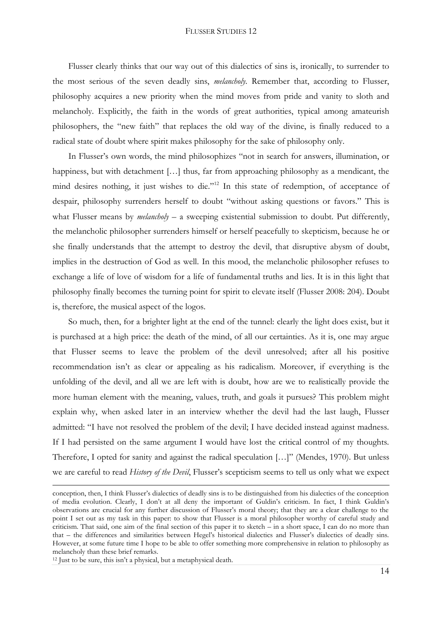Flusser clearly thinks that our way out of this dialectics of sins is, ironically, to surrender to the most serious of the seven deadly sins, *melancholy*. Remember that, according to Flusser, philosophy acquires a new priority when the mind moves from pride and vanity to sloth and melancholy. Explicitly, the faith in the words of great authorities, typical among amateurish philosophers, the "new faith" that replaces the old way of the divine, is finally reduced to a radical state of doubt where spirit makes philosophy for the sake of philosophy only.

In Flusser's own words, the mind philosophizes "not in search for answers, illumination, or happiness, but with detachment [...] thus, far from approaching philosophy as a mendicant, the mind desires nothing, it just wishes to die."<sup>12</sup> In this state of redemption, of acceptance of despair, philosophy surrenders herself to doubt "without asking questions or favors." This is what Flusser means by *melancholy* – a sweeping existential submission to doubt. Put differently, the melancholic philosopher surrenders himself or herself peacefully to skepticism, because he or she finally understands that the attempt to destroy the devil, that disruptive abysm of doubt, implies in the destruction of God as well. In this mood, the melancholic philosopher refuses to exchange a life of love of wisdom for a life of fundamental truths and lies. It is in this light that philosophy finally becomes the turning point for spirit to elevate itself (Flusser 2008: 204). Doubt is, therefore, the musical aspect of the logos.

So much, then, for a brighter light at the end of the tunnel: clearly the light does exist, but it is purchased at a high price: the death of the mind, of all our certainties. As it is, one may argue that Flusser seems to leave the problem of the devil unresolved; after all his positive recommendation isn"t as clear or appealing as his radicalism. Moreover, if everything is the unfolding of the devil, and all we are left with is doubt, how are we to realistically provide the more human element with the meaning, values, truth, and goals it pursues? This problem might explain why, when asked later in an interview whether the devil had the last laugh, Flusser admitted: "I have not resolved the problem of the devil; I have decided instead against madness. If I had persisted on the same argument I would have lost the critical control of my thoughts. Therefore, I opted for sanity and against the radical speculation […]" (Mendes, 1970). But unless we are careful to read *History of the Devil*, Flusser's scepticism seems to tell us only what we expect

conception, then, I think Flusser"s dialectics of deadly sins is to be distinguished from his dialectics of the conception of media evolution. Clearly, I don"t at all deny the important of Guldin"s criticism. In fact, I think Guldin"s observations are crucial for any further discussion of Flusser"s moral theory; that they are a clear challenge to the point I set out as my task in this paper: to show that Flusser is a moral philosopher worthy of careful study and criticism. That said, one aim of the final section of this paper it to sketch – in a short space, I can do no more than that – the differences and similarities between Hegel"s historical dialectics and Flusser"s dialectics of deadly sins. However, at some future time I hope to be able to offer something more comprehensive in relation to philosophy as melancholy than these brief remarks.

<sup>12</sup> Just to be sure, this isn"t a physical, but a metaphysical death.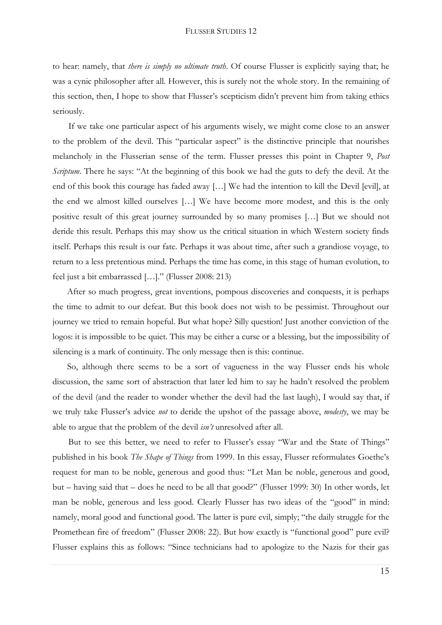to hear: namely, that *there is simply no ultimate truth*. Of course Flusser is explicitly saying that; he was a cynic philosopher after all. However, this is surely not the whole story. In the remaining of this section, then, I hope to show that Flusser's scepticism didn't prevent him from taking ethics seriously.

If we take one particular aspect of his arguments wisely, we might come close to an answer to the problem of the devil. This "particular aspect" is the distinctive principle that nourishes melancholy in the Flusserian sense of the term. Flusser presses this point in Chapter 9, *Post Scriptum*. There he says: "At the beginning of this book we had the guts to defy the devil. At the end of this book this courage has faded away […] We had the intention to kill the Devil [evil], at the end we almost killed ourselves […] We have become more modest, and this is the only positive result of this great journey surrounded by so many promises […] But we should not deride this result. Perhaps this may show us the critical situation in which Western society finds itself. Perhaps this result is our fate. Perhaps it was about time, after such a grandiose voyage, to return to a less pretentious mind. Perhaps the time has come, in this stage of human evolution, to feel just a bit embarrassed […]." (Flusser 2008: 213)

After so much progress, great inventions, pompous discoveries and conquests, it is perhaps the time to admit to our defeat. But this book does not wish to be pessimist. Throughout our journey we tried to remain hopeful. But what hope? Silly question! Just another conviction of the logos: it is impossible to be quiet. This may be either a curse or a blessing, but the impossibility of silencing is a mark of continuity. The only message then is this: continue.

So, although there seems to be a sort of vagueness in the way Flusser ends his whole discussion, the same sort of abstraction that later led him to say he hadn"t resolved the problem of the devil (and the reader to wonder whether the devil had the last laugh), I would say that, if we truly take Flusser"s advice *not* to deride the upshot of the passage above, *modesty*, we may be able to argue that the problem of the devil *isn't* unresolved after all.

But to see this better, we need to refer to Flusser's essay "War and the State of Things" published in his book *The Shape of Things* from 1999. In this essay, Flusser reformulates Goethe"s request for man to be noble, generous and good thus: "Let Man be noble, generous and good, but – having said that – does he need to be all that good?" (Flusser 1999: 30) In other words, let man be noble, generous and less good. Clearly Flusser has two ideas of the "good" in mind: namely, moral good and functional good. The latter is pure evil, simply; "the daily struggle for the Promethean fire of freedom" (Flusser 2008: 22). But how exactly is "functional good" pure evil? Flusser explains this as follows: "Since technicians had to apologize to the Nazis for their gas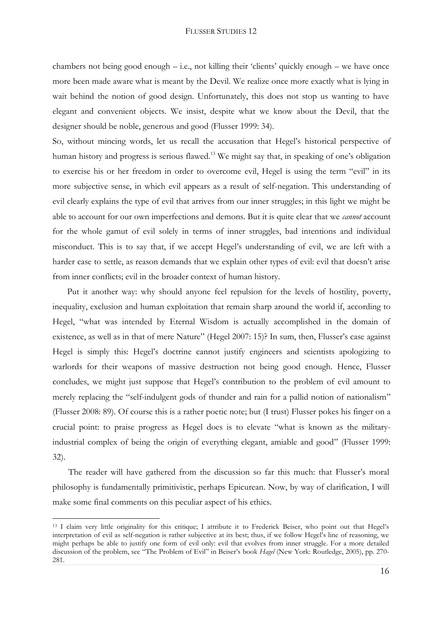chambers not being good enough  $-$  i.e., not killing their 'clients' quickly enough  $-$  we have once more been made aware what is meant by the Devil. We realize once more exactly what is lying in wait behind the notion of good design. Unfortunately, this does not stop us wanting to have elegant and convenient objects. We insist, despite what we know about the Devil, that the designer should be noble, generous and good (Flusser 1999: 34).

So, without mincing words, let us recall the accusation that Hegel"s historical perspective of human history and progress is serious flawed.<sup>13</sup> We might say that, in speaking of one's obligation to exercise his or her freedom in order to overcome evil, Hegel is using the term "evil" in its more subjective sense, in which evil appears as a result of self-negation. This understanding of evil clearly explains the type of evil that arrives from our inner struggles; in this light we might be able to account for our own imperfections and demons. But it is quite clear that we *cannot* account for the whole gamut of evil solely in terms of inner struggles, bad intentions and individual misconduct. This is to say that, if we accept Hegel"s understanding of evil, we are left with a harder case to settle, as reason demands that we explain other types of evil: evil that doesn't arise from inner conflicts; evil in the broader context of human history.

Put it another way: why should anyone feel repulsion for the levels of hostility, poverty, inequality, exclusion and human exploitation that remain sharp around the world if, according to Hegel, "what was intended by Eternal Wisdom is actually accomplished in the domain of existence, as well as in that of mere Nature" (Hegel 2007: 15)? In sum, then, Flusser's case against Hegel is simply this: Hegel"s doctrine cannot justify engineers and scientists apologizing to warlords for their weapons of massive destruction not being good enough. Hence, Flusser concludes, we might just suppose that Hegel"s contribution to the problem of evil amount to merely replacing the "self-indulgent gods of thunder and rain for a pallid notion of nationalism" (Flusser 2008: 89). Of course this is a rather poetic note; but (I trust) Flusser pokes his finger on a crucial point: to praise progress as Hegel does is to elevate "what is known as the militaryindustrial complex of being the origin of everything elegant, amiable and good" (Flusser 1999: 32).

The reader will have gathered from the discussion so far this much: that Flusser's moral philosophy is fundamentally primitivistic, perhaps Epicurean. Now, by way of clarification, I will make some final comments on this peculiar aspect of his ethics.

<sup>&</sup>lt;sup>13</sup> I claim very little originality for this critique; I attribute it to Frederick Beiser, who point out that Hegel's interpretation of evil as self-negation is rather subjective at its best; thus, if we follow Hegel"s line of reasoning, we might perhaps be able to justify one form of evil only: evil that evolves from inner struggle. For a more detailed discussion of the problem, see "The Problem of Evil" in Beiser"s book *Hagel* (New York: Routledge, 2005), pp. 270- 281.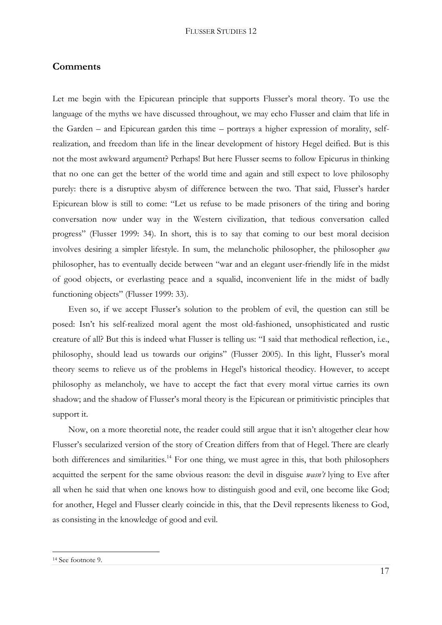### **Comments**

Let me begin with the Epicurean principle that supports Flusser's moral theory. To use the language of the myths we have discussed throughout, we may echo Flusser and claim that life in the Garden – and Epicurean garden this time – portrays a higher expression of morality, selfrealization, and freedom than life in the linear development of history Hegel deified. But is this not the most awkward argument? Perhaps! But here Flusser seems to follow Epicurus in thinking that no one can get the better of the world time and again and still expect to love philosophy purely: there is a disruptive abysm of difference between the two. That said, Flusser's harder Epicurean blow is still to come: "Let us refuse to be made prisoners of the tiring and boring conversation now under way in the Western civilization, that tedious conversation called progress" (Flusser 1999: 34). In short, this is to say that coming to our best moral decision involves desiring a simpler lifestyle. In sum, the melancholic philosopher, the philosopher *qua* philosopher, has to eventually decide between "war and an elegant user-friendly life in the midst of good objects, or everlasting peace and a squalid, inconvenient life in the midst of badly functioning objects" (Flusser 1999: 33).

Even so, if we accept Flusser's solution to the problem of evil, the question can still be posed: Isn"t his self-realized moral agent the most old-fashioned, unsophisticated and rustic creature of all? But this is indeed what Flusser is telling us: "I said that methodical reflection, i.e., philosophy, should lead us towards our origins" (Flusser 2005). In this light, Flusser's moral theory seems to relieve us of the problems in Hegel"s historical theodicy. However, to accept philosophy as melancholy, we have to accept the fact that every moral virtue carries its own shadow; and the shadow of Flusser's moral theory is the Epicurean or primitivistic principles that support it.

Now, on a more theoretial note, the reader could still argue that it isn"t altogether clear how Flusser's secularized version of the story of Creation differs from that of Hegel. There are clearly both differences and similarities.<sup>14</sup> For one thing, we must agree in this, that both philosophers acquitted the serpent for the same obvious reason: the devil in disguise *wasn't* lying to Eve after all when he said that when one knows how to distinguish good and evil, one become like God; for another, Hegel and Flusser clearly coincide in this, that the Devil represents likeness to God, as consisting in the knowledge of good and evil.

<sup>14</sup> See footnote 9.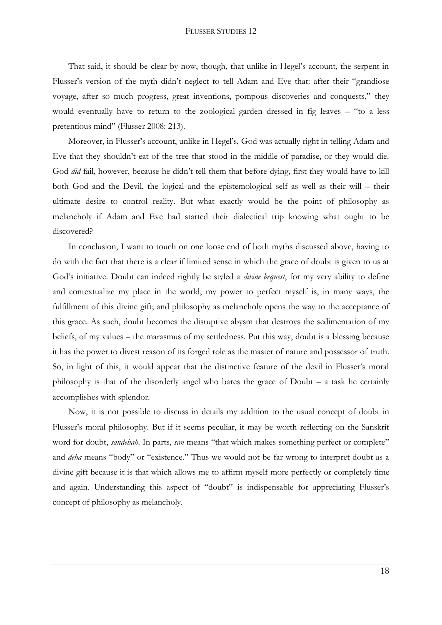That said, it should be clear by now, though, that unlike in Hegel"s account, the serpent in Flusser's version of the myth didn't neglect to tell Adam and Eve that: after their "grandiose" voyage, after so much progress, great inventions, pompous discoveries and conquests," they would eventually have to return to the zoological garden dressed in fig leaves – "to a less pretentious mind" (Flusser 2008: 213).

Moreover, in Flusser's account, unlike in Hegel's, God was actually right in telling Adam and Eve that they shouldn"t eat of the tree that stood in the middle of paradise, or they would die. God *did* fail, however, because he didn't tell them that before dying, first they would have to kill both God and the Devil, the logical and the epistemological self as well as their will – their ultimate desire to control reality. But what exactly would be the point of philosophy as melancholy if Adam and Eve had started their dialectical trip knowing what ought to be discovered?

In conclusion, I want to touch on one loose end of both myths discussed above, having to do with the fact that there is a clear if limited sense in which the grace of doubt is given to us at God"s initiative. Doubt can indeed rightly be styled a *divine bequest*, for my very ability to define and contextualize my place in the world, my power to perfect myself is, in many ways, the fulfillment of this divine gift; and philosophy as melancholy opens the way to the acceptance of this grace. As such, doubt becomes the disruptive abysm that destroys the sedimentation of my beliefs, of my values – the marasmus of my settledness. Put this way, doubt is a blessing because it has the power to divest reason of its forged role as the master of nature and possessor of truth. So, in light of this, it would appear that the distinctive feature of the devil in Flusser's moral philosophy is that of the disorderly angel who bares the grace of Doubt – a task he certainly accomplishes with splendor.

Now, it is not possible to discuss in details my addition to the usual concept of doubt in Flusser"s moral philosophy. But if it seems peculiar, it may be worth reflecting on the Sanskrit word for doubt, *sandehah*. In parts, *san* means "that which makes something perfect or complete" and *deha* means "body" or "existence." Thus we would not be far wrong to interpret doubt as a divine gift because it is that which allows me to affirm myself more perfectly or completely time and again. Understanding this aspect of "doubt" is indispensable for appreciating Flusser's concept of philosophy as melancholy.